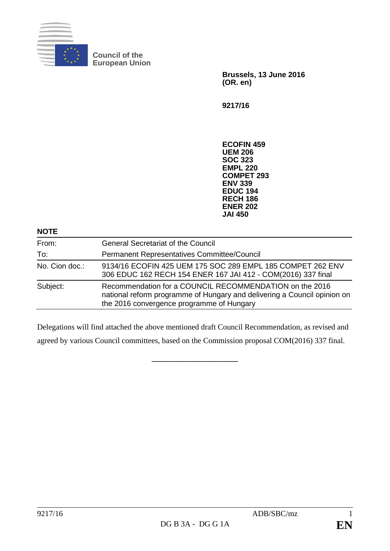

**Council of the European Union**

> **Brussels, 13 June 2016 (OR. en)**

**9217/16**

**ECOFIN 459 UEM 206 SOC 323 EMPL 220 COMPET 293 ENV 339 EDUC 194 RECH 186 ENER 202 JAI 450**

## **NOTE**

| From:          | <b>General Secretariat of the Council</b>                                                                                                                                        |
|----------------|----------------------------------------------------------------------------------------------------------------------------------------------------------------------------------|
| To:            | Permanent Representatives Committee/Council                                                                                                                                      |
| No. Cion doc.: | 9134/16 ECOFIN 425 UEM 175 SOC 289 EMPL 185 COMPET 262 ENV<br>306 EDUC 162 RECH 154 ENER 167 JAI 412 - COM(2016) 337 final                                                       |
| Subject:       | Recommendation for a COUNCIL RECOMMENDATION on the 2016<br>national reform programme of Hungary and delivering a Council opinion on<br>the 2016 convergence programme of Hungary |

Delegations will find attached the above mentioned draft Council Recommendation, as revised and agreed by various Council committees, based on the Commission proposal COM(2016) 337 final.

**\_\_\_\_\_\_\_\_\_\_\_\_\_\_\_\_\_\_\_\_\_\_**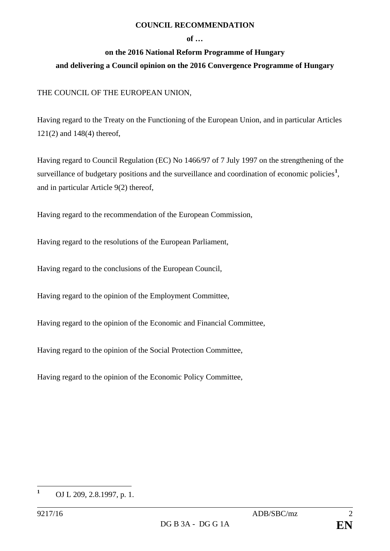### **COUNCIL RECOMMENDATION**

#### **of …**

# **on the 2016 National Reform Programme of Hungary and delivering a Council opinion on the 2016 Convergence Programme of Hungary**

# THE COUNCIL OF THE EUROPEAN UNION,

Having regard to the Treaty on the Functioning of the European Union, and in particular Articles 121(2) and 148(4) thereof,

Having regard to Council Regulation (EC) No 1466/97 of 7 July 1997 on the strengthening of the surveillance of budgetary positions and the surveillance and coordination of economic policies<sup>[1](#page-1-0)</sup>, and in particular Article 9(2) thereof,

Having regard to the recommendation of the European Commission,

Having regard to the resolutions of the European Parliament,

Having regard to the conclusions of the European Council,

Having regard to the opinion of the Employment Committee,

Having regard to the opinion of the Economic and Financial Committee,

Having regard to the opinion of the Social Protection Committee,

Having regard to the opinion of the Economic Policy Committee,

<span id="page-1-0"></span>**<sup>1</sup>** OJ L 209, 2.8.1997, p. 1.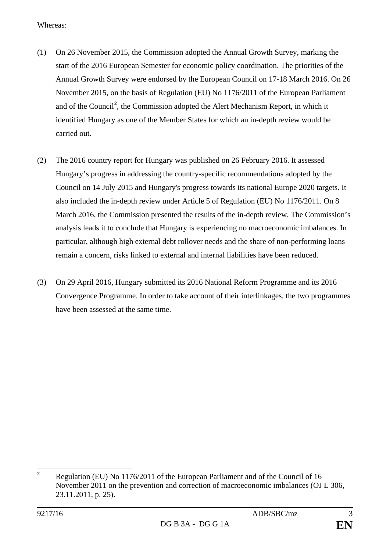Whereas:

- (1) On 26 November 2015, the Commission adopted the Annual Growth Survey, marking the start of the 2016 European Semester for economic policy coordination. The priorities of the Annual Growth Survey were endorsed by the European Council on 17-18 March 2016. On 26 November 2015, on the basis of Regulation (EU) No 1176/2011 of the European Parliament and of the Council<sup>[2](#page-2-0)</sup>, the Commission adopted the Alert Mechanism Report, in which it identified Hungary as one of the Member States for which an in-depth review would be carried out.
- (2) The 2016 country report for Hungary was published on 26 February 2016. It assessed Hungary's progress in addressing the country-specific recommendations adopted by the Council on 14 July 2015 and Hungary's progress towards its national Europe 2020 targets. It also included the in-depth review under Article 5 of Regulation (EU) No 1176/2011. On 8 March 2016, the Commission presented the results of the in-depth review. The Commission's analysis leads it to conclude that Hungary is experiencing no macroeconomic imbalances. In particular, although high external debt rollover needs and the share of non-performing loans remain a concern, risks linked to external and internal liabilities have been reduced.
- (3) On 29 April 2016, Hungary submitted its 2016 National Reform Programme and its 2016 Convergence Programme. In order to take account of their interlinkages, the two programmes have been assessed at the same time.

<span id="page-2-0"></span>**<sup>2</sup>** Regulation (EU) No 1176/2011 of the European Parliament and of the Council of 16 November 2011 on the prevention and correction of macroeconomic imbalances (OJ L 306, 23.11.2011, p. 25).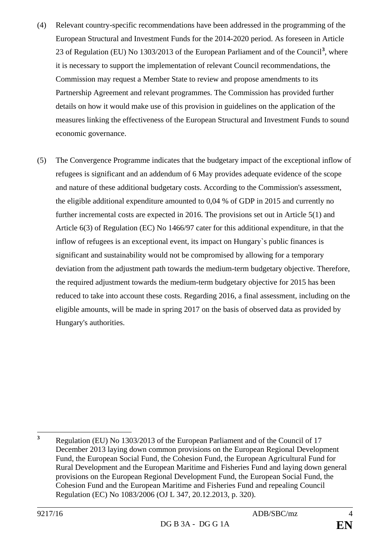- (4) Relevant country-specific recommendations have been addressed in the programming of the European Structural and Investment Funds for the 2014-2020 period. As foreseen in Article 23 of Regulation (EU) No 1303/2013 of the European Parliament and of the Council**[3](#page-3-0)** , where it is necessary to support the implementation of relevant Council recommendations, the Commission may request a Member State to review and propose amendments to its Partnership Agreement and relevant programmes. The Commission has provided further details on how it would make use of this provision in guidelines on the application of the measures linking the effectiveness of the European Structural and Investment Funds to sound economic governance.
- (5) The Convergence Programme indicates that the budgetary impact of the exceptional inflow of refugees is significant and an addendum of 6 May provides adequate evidence of the scope and nature of these additional budgetary costs. According to the Commission's assessment, the eligible additional expenditure amounted to 0,04 % of GDP in 2015 and currently no further incremental costs are expected in 2016. The provisions set out in Article 5(1) and Article 6(3) of Regulation (EC) No 1466/97 cater for this additional expenditure, in that the inflow of refugees is an exceptional event, its impact on Hungary`s public finances is significant and sustainability would not be compromised by allowing for a temporary deviation from the adjustment path towards the medium-term budgetary objective. Therefore, the required adjustment towards the medium-term budgetary objective for 2015 has been reduced to take into account these costs. Regarding 2016, a final assessment, including on the eligible amounts, will be made in spring 2017 on the basis of observed data as provided by Hungary's authorities.

<span id="page-3-0"></span>**<sup>3</sup>** Regulation (EU) No 1303/2013 of the European Parliament and of the Council of 17 December 2013 laying down common provisions on the European Regional Development Fund, the European Social Fund, the Cohesion Fund, the European Agricultural Fund for Rural Development and the European Maritime and Fisheries Fund and laying down general provisions on the European Regional Development Fund, the European Social Fund, the Cohesion Fund and the European Maritime and Fisheries Fund and repealing Council Regulation (EC) No 1083/2006 (OJ L 347, 20.12.2013, p. 320).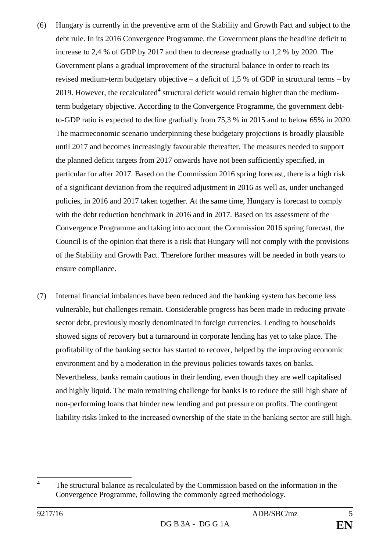- (6) Hungary is currently in the preventive arm of the Stability and Growth Pact and subject to the debt rule. In its 2016 Convergence Programme, the Government plans the headline deficit to increase to 2,4 % of GDP by 2017 and then to decrease gradually to 1,2 % by 2020. The Government plans a gradual improvement of the structural balance in order to reach its revised medium-term budgetary objective – a deficit of 1,5 % of GDP in structural terms – by 2019. However, the recalculated<sup>[4](#page-4-0)</sup> structural deficit would remain higher than the mediumterm budgetary objective. According to the Convergence Programme, the government debtto-GDP ratio is expected to decline gradually from 75,3 % in 2015 and to below 65% in 2020. The macroeconomic scenario underpinning these budgetary projections is broadly plausible until 2017 and becomes increasingly favourable thereafter. The measures needed to support the planned deficit targets from 2017 onwards have not been sufficiently specified, in particular for after 2017. Based on the Commission 2016 spring forecast, there is a high risk of a significant deviation from the required adjustment in 2016 as well as, under unchanged policies, in 2016 and 2017 taken together. At the same time, Hungary is forecast to comply with the debt reduction benchmark in 2016 and in 2017. Based on its assessment of the Convergence Programme and taking into account the Commission 2016 spring forecast, the Council is of the opinion that there is a risk that Hungary will not comply with the provisions of the Stability and Growth Pact. Therefore further measures will be needed in both years to ensure compliance.
- (7) Internal financial imbalances have been reduced and the banking system has become less vulnerable, but challenges remain. Considerable progress has been made in reducing private sector debt, previously mostly denominated in foreign currencies. Lending to households showed signs of recovery but a turnaround in corporate lending has yet to take place. The profitability of the banking sector has started to recover, helped by the improving economic environment and by a moderation in the previous policies towards taxes on banks. Nevertheless, banks remain cautious in their lending, even though they are well capitalised and highly liquid. The main remaining challenge for banks is to reduce the still high share of non-performing loans that hinder new lending and put pressure on profits. The contingent liability risks linked to the increased ownership of the state in the banking sector are still high.

<span id="page-4-0"></span><sup>&</sup>lt;sup>4</sup> The structural balance as recalculated by the Commission based on the information in the Convergence Programme, following the commonly agreed methodology.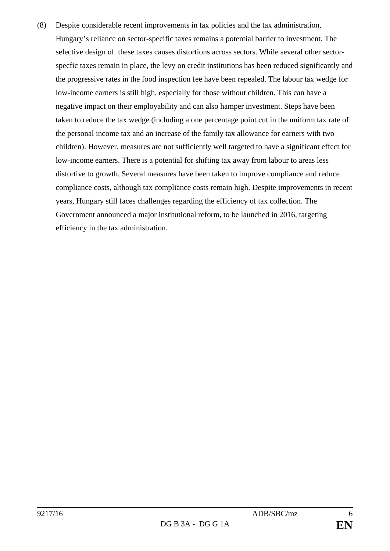(8) Despite considerable recent improvements in tax policies and the tax administration, Hungary's reliance on sector-specific taxes remains a potential barrier to investment. The selective design of these taxes causes distortions across sectors. While several other sectorspecfic taxes remain in place, the levy on credit institutions has been reduced significantly and the progressive rates in the food inspection fee have been repealed. The labour tax wedge for low-income earners is still high, especially for those without children. This can have a negative impact on their employability and can also hamper investment. Steps have been taken to reduce the tax wedge (including a one percentage point cut in the uniform tax rate of the personal income tax and an increase of the family tax allowance for earners with two children). However, measures are not sufficiently well targeted to have a significant effect for low-income earners. There is a potential for shifting tax away from labour to areas less distortive to growth. Several measures have been taken to improve compliance and reduce compliance costs, although tax compliance costs remain high. Despite improvements in recent years, Hungary still faces challenges regarding the efficiency of tax collection. The Government announced a major institutional reform, to be launched in 2016, targeting efficiency in the tax administration.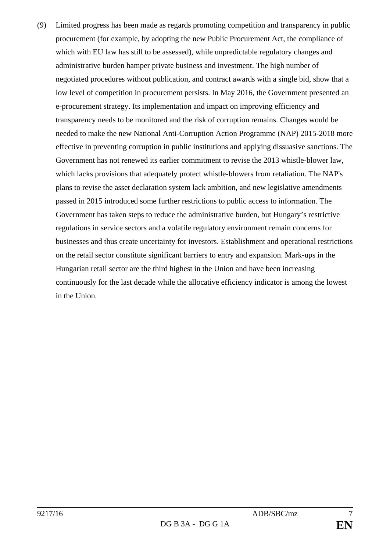(9) Limited progress has been made as regards promoting competition and transparency in public procurement (for example, by adopting the new Public Procurement Act, the compliance of which with EU law has still to be assessed), while unpredictable regulatory changes and administrative burden hamper private business and investment. The high number of negotiated procedures without publication, and contract awards with a single bid, show that a low level of competition in procurement persists. In May 2016, the Government presented an e-procurement strategy. Its implementation and impact on improving efficiency and transparency needs to be monitored and the risk of corruption remains. Changes would be needed to make the new National Anti-Corruption Action Programme (NAP) 2015-2018 more effective in preventing corruption in public institutions and applying dissuasive sanctions. The Government has not renewed its earlier commitment to revise the 2013 whistle-blower law, which lacks provisions that adequately protect whistle-blowers from retaliation. The NAP's plans to revise the asset declaration system lack ambition, and new legislative amendments passed in 2015 introduced some further restrictions to public access to information. The Government has taken steps to reduce the administrative burden, but Hungary's restrictive regulations in service sectors and a volatile regulatory environment remain concerns for businesses and thus create uncertainty for investors. Establishment and operational restrictions on the retail sector constitute significant barriers to entry and expansion. Mark-ups in the Hungarian retail sector are the third highest in the Union and have been increasing continuously for the last decade while the allocative efficiency indicator is among the lowest in the Union.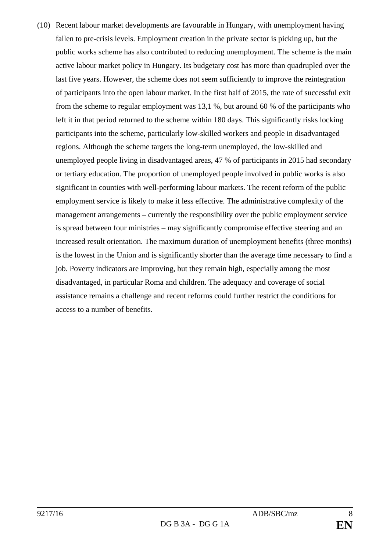(10) Recent labour market developments are favourable in Hungary, with unemployment having fallen to pre-crisis levels. Employment creation in the private sector is picking up, but the public works scheme has also contributed to reducing unemployment. The scheme is the main active labour market policy in Hungary. Its budgetary cost has more than quadrupled over the last five years. However, the scheme does not seem sufficiently to improve the reintegration of participants into the open labour market. In the first half of 2015, the rate of successful exit from the scheme to regular employment was 13,1 %, but around 60 % of the participants who left it in that period returned to the scheme within 180 days. This significantly risks locking participants into the scheme, particularly low-skilled workers and people in disadvantaged regions. Although the scheme targets the long-term unemployed, the low-skilled and unemployed people living in disadvantaged areas, 47 % of participants in 2015 had secondary or tertiary education. The proportion of unemployed people involved in public works is also significant in counties with well-performing labour markets. The recent reform of the public employment service is likely to make it less effective. The administrative complexity of the management arrangements – currently the responsibility over the public employment service is spread between four ministries – may significantly compromise effective steering and an increased result orientation. The maximum duration of unemployment benefits (three months) is the lowest in the Union and is significantly shorter than the average time necessary to find a job. Poverty indicators are improving, but they remain high, especially among the most disadvantaged, in particular Roma and children. The adequacy and coverage of social assistance remains a challenge and recent reforms could further restrict the conditions for access to a number of benefits.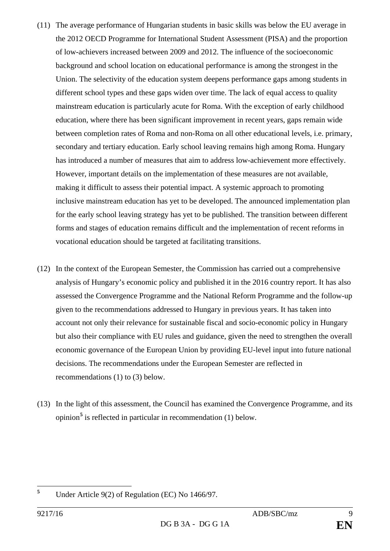- (11) The average performance of Hungarian students in basic skills was below the EU average in the 2012 OECD Programme for International Student Assessment (PISA) and the proportion of low-achievers increased between 2009 and 2012. The influence of the socioeconomic background and school location on educational performance is among the strongest in the Union. The selectivity of the education system deepens performance gaps among students in different school types and these gaps widen over time. The lack of equal access to quality mainstream education is particularly acute for Roma. With the exception of early childhood education, where there has been significant improvement in recent years, gaps remain wide between completion rates of Roma and non-Roma on all other educational levels, i.e. primary, secondary and tertiary education. Early school leaving remains high among Roma. Hungary has introduced a number of measures that aim to address low-achievement more effectively. However, important details on the implementation of these measures are not available, making it difficult to assess their potential impact. A systemic approach to promoting inclusive mainstream education has yet to be developed. The announced implementation plan for the early school leaving strategy has yet to be published. The transition between different forms and stages of education remains difficult and the implementation of recent reforms in vocational education should be targeted at facilitating transitions.
- (12) In the context of the European Semester, the Commission has carried out a comprehensive analysis of Hungary's economic policy and published it in the 2016 country report. It has also assessed the Convergence Programme and the National Reform Programme and the follow-up given to the recommendations addressed to Hungary in previous years. It has taken into account not only their relevance for sustainable fiscal and socio-economic policy in Hungary but also their compliance with EU rules and guidance, given the need to strengthen the overall economic governance of the European Union by providing EU-level input into future national decisions. The recommendations under the European Semester are reflected in recommendations (1) to (3) below.
- (13) In the light of this assessment, the Council has examined the Convergence Programme, and its opinion**[5](#page-8-0)** is reflected in particular in recommendation (1) below.

<span id="page-8-0"></span>**<sup>5</sup>** Under Article 9(2) of Regulation (EC) No 1466/97.